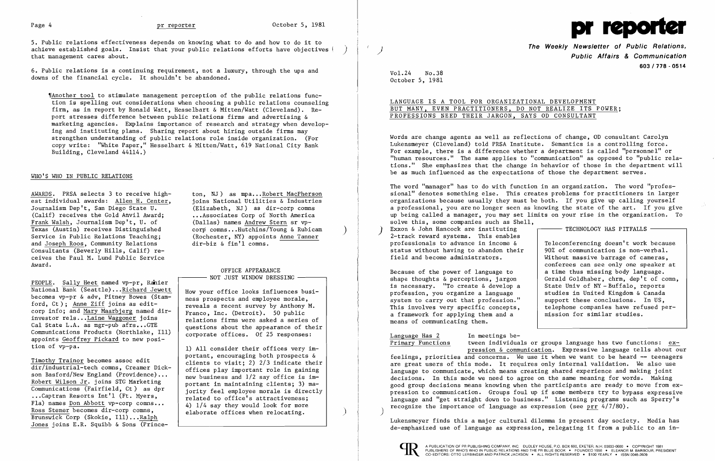

5. Public relations effectiveness depends on knowing what to do and how to do it to achieve established goals. Insist that your public relations efforts have objectives (<br>that management cares about.

6. Public relations is a continuing requirement, not a luxury, through the ups and downs of the financial cycle. It shouldn't be abandoned.

'[Another tool to stimulate management perception of the public relations function is spelling out considerations when choosing a public relations counseling firm, as in report by Ronald Watt, Hesselbart & Mitten/Watt (Cleveland). Report stresses difference between public relations firms and advertising & marketing agencies. Explains importance of research and strategy when developing and instituting plans. Sharing report about hiring outside firms may strengthen understanding of public relations role inside organization. (For copy write: "White Paper," Hesselbart & Mitten/Watt, 619 National City Bank Building, Cleveland 44114.)

 $\frac{\text{AWARDS}}{\text{est individual awards:}}$  3 to receive high-<br>est individual awards: Allen H. Center, ioins National Utilities & Industries Journalism Dep't, San Diego State U.  $(Ca1if)$  receives the Gold Anvil Award: Frank Walsh, Journalism Dep't, U. of (Dallas) names Andrew Stern sr vp-<br>Texas (Austin) receives Distinguished corp comns...Hutchins/Young & Rubicam Texas (Austin) receives Distinguished corp comns...Hutchins/Young & Rubicam<br>Service in Public Relations Teaching: (Rochester, NY) appoints Anne Tanner Service in Public Relations Teaching; and Joseph Roos, Community Relations Consultants (Beverly Hills, Calif) re ceives the Paul M. Lund Public Service Award.

#### OFFICE APPEARANCE  $-$  NOT JUST WINDOW DRESSING  $-$

PEOPLE. Sally Heet named vp-pr. Ranier National Bank (Seattle)... Richard Jewett  $\begin{array}{c|c} \text{How your office looks influence burst} \\ \text{becomes vp-pr & adv, Pitney Bowes (Stam--\n\end{array}$  How your office looks influences busibecomes vp-pr & adv, Pitney Bowes (Stam-<br>ford, Ct); Anne Ziff joins as edit-<br>reveals a recent survey by Anthony M. corp info; and <u>Mary Maarbjerg</u> named dir-<br>investor rels...<u>Laine Waggoner</u> joins<br>Cal State L.A. as mgr-pub afrs...GTE<br>cuestions about the appearance of their Communications Products (Northlake, I11) appoints Geoffrey Pickard to new position of  $vp-pa$ .<br>
1) All consider their offices very im-

questions about the appearance of their<br>corporate offices. Of 25 responses:

#### WHO'S WHO IN PUBLIC RELATIONS

Timothy Trainor becomes assoc edit<br>dir/industrial-tech comms, Creamer Dick-<br>offices play important role in gaining dir/industrial-tech comns, Creamer Dick-<br>son Basford/New England (Providence)...<br>new business and 1/2 say office is imson Basford/New England (Providence)...<br>Robert Wilson Jr. joins STG Marketing<br>portant in maintaining clients; 3) ma-Communications (Fairfield, Ct) as dpr<br>
...Captran Resorts Int'l (Ft. Myers,<br>
related to office's attractiveness: Fla) names <u>Don Abbott</u> vp-corp comns...<br>Ross Stemer becomes dir-corp comns,<br>elaborate offices when relocating. Brunswick Corp (Skokie, Ill)...Ralph Jones joins E.R. Squibb & Sons (Prince-

joins National Utilities & Industries (Elizabeth, NJ) as dir-corp comns ... Associates Corp of North America (Dallas) names Andrew Stern sr vpdir-biz & fin'l comns.

The word "manager" has to do with function in an organization. The word "profes sional" denotes something else. This creates problems for practitioners in larger organizations because usually they must be both. If you give up calling yourself a professional, you are no longer seen as knowing the state of the art. If you give up being called a manager, you may set limits on your rise in the organization. To solve this, some companies such as Shell, Exxon & John Hancock are instituting Exxon & John Hancock are instituting  $2$ -track reward systems. This enables

professionals to advance in income  $\&$  Teleconferencing doesn't work because<br>status without having to abandon their 90% of communication is non-verbal. status without having to abandon their<br>field and become administrators.

portant, encouraging both prospects &

Because of the power of language to  $\begin{array}{|l|l|} \hline \end{array}$  a time thus missing body language.<br>shape thoughts & perceptions, jargon Gerald Goldhaber, chrm, dep't of co is necessary. "To create & develop a  $\left\{\n \begin{array}{c}\n \text{State Univ of NY} - \text{Buffalo, reports} \\
 \text{for of } \text{NY} - \text{Buffalo, reports}\n \end{array}\n \right\}$ profession, you organize a language and studies in United Kingdom & Canada system to carry out that profession." system to carry out that profession."<br>This involves very specific concepts. a framework for applying them and a means of communicating them.

# Language Has 2 In meetings be-

Primary Functions tween individuals or groups language has two functions: expression & communication. Expressive language tells about our feelings, priorities and concerns. We use it when we want to be heard -- teenagers are great users of this mode. It requires only internal validation. We also use language to communicate, which means creating shared experience and making joint decisions. In this mode we need to agree on the same meaning for words. Making good group decisions means knowing when the participants are ready to move from expression to communication. Groups foul up if some members try to bypass expressive language and "get straight down to business." Listening programs such as Sperry's recognize the importance of language as expression (see prr  $4/7/80$ ).

**The Weekly Newsletter of Public Relations,** } / **Public Affairs & Communication 603/778·0514** 

Without massive barrage of cameras, conferees can see only one speaker at Gerald Goldhaber, chrm, dep't of comn,<br>State Univ of NY-Buffalo, reports telephone companies have refused per-<br>mission for similar studies.

Vol. 24 No. 38 October 5, 1981

### LANGUAGE IS A TOOL FOR ORGANIZATIONAL DEVELOPMENT BUT MANY, EVEN PRACTITIONERS, DO NOT REALIZE ITS POWER; PROFESSIONS NEED THEIR JARGON, SAYS OD CONSULTANT

Words are change agents as well as reflections of change, OD consultant Carolyn Lukensmeyer (Cleveland) told PRSA Institute. Semantics is a controlling force. For example, there is a difference whether a department is called "personnel" or "human resources." The same applies to "communication" as opposed to "public rela tions." She emphasizes that the change in behavior of those in the department will be as much influenced as the expectations of those the department serves.

Lukensmeyer finds this a major cultural dilemma in present day society. Media has de-emphasized use of language as expression, relegating it from a public to an in-